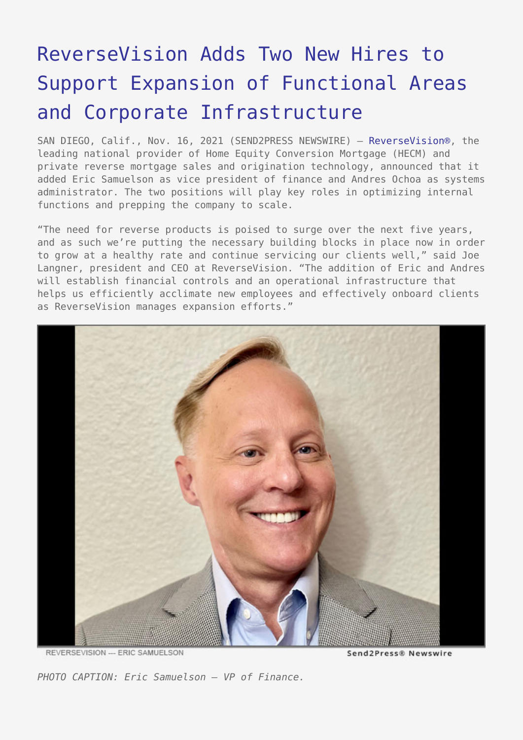## [ReverseVision Adds Two New Hires to](https://www.send2press.com/wire/reversevision-adds-two-new-hires-to-support-expansion-of-functional-areas-and-corporate-infrastructure/) [Support Expansion of Functional Areas](https://www.send2press.com/wire/reversevision-adds-two-new-hires-to-support-expansion-of-functional-areas-and-corporate-infrastructure/) [and Corporate Infrastructure](https://www.send2press.com/wire/reversevision-adds-two-new-hires-to-support-expansion-of-functional-areas-and-corporate-infrastructure/)

SAN DIEGO, Calif., Nov. 16, 2021 (SEND2PRESS NEWSWIRE) — [ReverseVision®,](https://www.reversevision.com/) the leading national provider of Home Equity Conversion Mortgage (HECM) and private reverse mortgage sales and origination technology, announced that it added Eric Samuelson as vice president of finance and Andres Ochoa as systems administrator. The two positions will play key roles in optimizing internal functions and prepping the company to scale.

"The need for reverse products is poised to surge over the next five years, and as such we're putting the necessary building blocks in place now in order to grow at a healthy rate and continue servicing our clients well," said Joe Langner, president and CEO at ReverseVision. "The addition of Eric and Andres will establish financial controls and an operational infrastructure that helps us efficiently acclimate new employees and effectively onboard clients as ReverseVision manages expansion efforts."



REVERSEVISION --- ERIC SAMUELSON

Send2Press® Newswire

*PHOTO CAPTION: Eric Samuelson – VP of Finance.*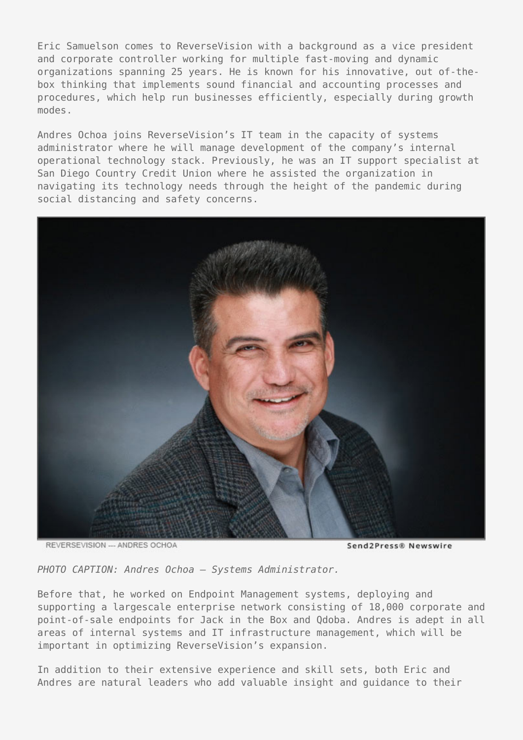Eric Samuelson comes to ReverseVision with a background as a vice president and corporate controller working for multiple fast-moving and dynamic organizations spanning 25 years. He is known for his innovative, out of-thebox thinking that implements sound financial and accounting processes and procedures, which help run businesses efficiently, especially during growth modes.

Andres Ochoa joins ReverseVision's IT team in the capacity of systems administrator where he will manage development of the company's internal operational technology stack. Previously, he was an IT support specialist at San Diego Country Credit Union where he assisted the organization in navigating its technology needs through the height of the pandemic during social distancing and safety concerns.



REVERSEVISION --- ANDRES OCHOA

Send2Press® Newswire

*PHOTO CAPTION: Andres Ochoa – Systems Administrator.*

Before that, he worked on Endpoint Management systems, deploying and supporting a largescale enterprise network consisting of 18,000 corporate and point-of-sale endpoints for Jack in the Box and Qdoba. Andres is adept in all areas of internal systems and IT infrastructure management, which will be important in optimizing ReverseVision's expansion.

In addition to their extensive experience and skill sets, both Eric and Andres are natural leaders who add valuable insight and guidance to their